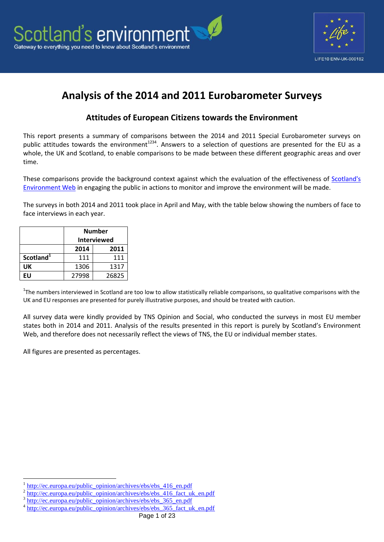



# **Analysis of the 2014 and 2011 Eurobarometer Surveys**

## **Attitudes of European Citizens towards the Environment**

This report presents a summary of comparisons between the 2014 and 2011 Special Eurobarometer surveys on public attitudes towards the environment<sup>1234</sup>. Answers to a selection of questions are presented for the EU as a whole, the UK and Scotland, to enable comparisons to be made between these different geographic areas and over time.

These comparisons provide the background context against which the evaluation of the effectiveness of Scotland's [Environment Web](http://www.environment.scotland.gov.uk/) in engaging the public in actions to monitor and improve the environment will be made.

The surveys in both 2014 and 2011 took place in April and May, with the table below showing the numbers of face to face interviews in each year.

|                       | <b>Number</b>      |      |  |  |  |  |  |
|-----------------------|--------------------|------|--|--|--|--|--|
|                       | <b>Interviewed</b> |      |  |  |  |  |  |
|                       | 2014<br>2011       |      |  |  |  |  |  |
| Scotland <sup>1</sup> | 111                | 111  |  |  |  |  |  |
| UK                    | 1306               | 1317 |  |  |  |  |  |
| FIJ                   | 27998<br>26825     |      |  |  |  |  |  |

<sup>1</sup>The numbers interviewed in Scotland are too low to allow statistically reliable comparisons, so qualitative comparisons with the UK and EU responses are presented for purely illustrative purposes, and should be treated with caution.

All survey data were kindly provided by TNS Opinion and Social, who conducted the surveys in most EU member states both in 2014 and 2011. Analysis of the results presented in this report is purely by Scotland's Environment Web, and therefore does not necessarily reflect the views of TNS, the EU or individual member states.

All figures are presented as percentages.

<sup>1</sup> 1 [http://ec.europa.eu/public\\_opinion/archives/ebs/ebs\\_416\\_en.pdf](http://ec.europa.eu/public_opinion/archives/ebs/ebs_416_en.pdf)

<sup>2</sup> [http://ec.europa.eu/public\\_opinion/archives/ebs/ebs\\_416\\_fact\\_uk\\_en.pdf](http://ec.europa.eu/public_opinion/archives/ebs/ebs_416_fact_uk_en.pdf)

<sup>3</sup> [http://ec.europa.eu/public\\_opinion/archives/ebs/ebs\\_365\\_en.pdf](http://ec.europa.eu/public_opinion/archives/ebs/ebs_365_en.pdf)

<sup>4</sup> [http://ec.europa.eu/public\\_opinion/archives/ebs/ebs\\_365\\_fact\\_uk\\_en.pdf](http://ec.europa.eu/public_opinion/archives/ebs/ebs_365_fact_uk_en.pdf)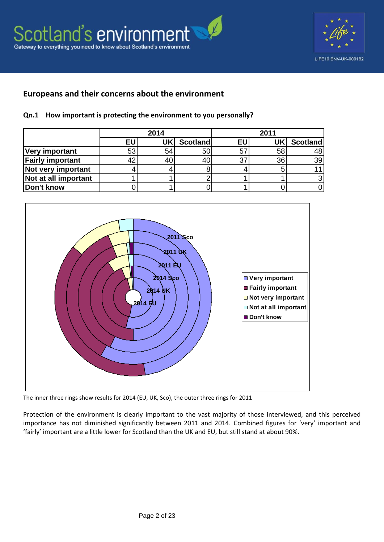

## **Europeans and their concerns about the environment**

#### **Qn.1 How important is protecting the environment to you personally?**

|                         | 2014 |     |                 | 2011           |    |          |  |
|-------------------------|------|-----|-----------------|----------------|----|----------|--|
|                         | EU   | UKI | <b>Scotland</b> | EU             |    | Scotland |  |
| <b>Very important</b>   | 53   | 54  |                 | 5 <sup>7</sup> | 58 | 48       |  |
| <b>Fairly important</b> |      | 40  |                 | 37             | 36 | 39       |  |
| Not very important      |      |     |                 |                |    |          |  |
| Not at all important    |      |     |                 |                |    |          |  |
| Don't know              |      |     |                 |                |    |          |  |



The inner three rings show results for 2014 (EU, UK, Sco), the outer three rings for 2011

Protection of the environment is clearly important to the vast majority of those interviewed, and this perceived importance has not diminished significantly between 2011 and 2014. Combined figures for 'very' important and 'fairly' important are a little lower for Scotland than the UK and EU, but still stand at about 90%.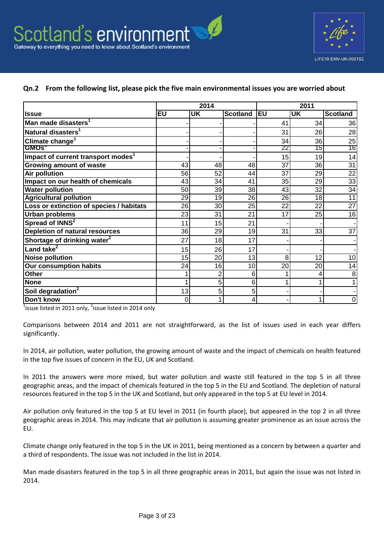

#### **Qn.2 From the following list, please pick the five main environmental issues you are worried about**

|                                                |    | 2014 |                 |     | 2011      |                 |
|------------------------------------------------|----|------|-----------------|-----|-----------|-----------------|
| <b>Issue</b>                                   | EU | UK   | <b>Scotland</b> | leu | <b>UK</b> | <b>Scotland</b> |
| Man made disasters <sup>1</sup>                |    |      |                 | 41  | 34        | 36              |
| Natural disasters <sup>1</sup>                 |    |      |                 | 31  | 26        | 28              |
| Climate change <sup>1</sup>                    |    |      |                 | 34  | 36        | 25              |
| <b>GMOS</b>                                    |    |      |                 | 22  | 15        | 16              |
| Impact of current transport modes <sup>1</sup> |    |      |                 | 15  | 19        | 14              |
| <b>Growing amount of waste</b>                 | 43 | 48   | 48              | 37  | 36        | $\overline{31}$ |
| <b>Air pollution</b>                           | 56 | 52   | 44              | 37  | 29        | $\overline{22}$ |
| Impact on our health of chemicals              | 43 | 34   | 41              | 35  | 29        | 33              |
| <b>Water pollution</b>                         | 50 | 39   | 38              | 43  | 32        | $\overline{34}$ |
| <b>Agricultural pollution</b>                  | 29 | 19   | 26              | 26  | 18        | $\overline{11}$ |
| Loss or extinction of species / habitats       | 26 | 30   | 25              | 22  | 22        | $\overline{27}$ |
| <b>Urban problems</b>                          | 23 | 31   | 21              | 17  | 25        | $\overline{16}$ |
| Spread of INNS <sup>2</sup>                    | 11 | 15   | 21              |     |           |                 |
| <b>Depletion of natural resources</b>          | 36 | 29   | 19              | 31  | 33        | $\overline{37}$ |
| Shortage of drinking water <sup>2</sup>        | 27 | 18   | 17              |     |           |                 |
| Land take <sup>2</sup>                         | 15 | 26   | 17              |     |           |                 |
| <b>Noise pollution</b>                         | 15 | 20   | 13              | 8   | 12        | 10 <sup>1</sup> |
| <b>Our consumption habits</b>                  | 24 | 16   | 10              | 20  | 20        | 14              |
| <b>Other</b>                                   |    | 2    | 6               |     | 4         | 8               |
| <b>None</b>                                    | 1  | 5    | $6\phantom{1}6$ |     | 1         |                 |
| Soil degradation <sup>2</sup>                  | 13 | 5    | 5               |     |           |                 |
| Don't know                                     | 0  |      | 4               |     | 4         | 0               |

 $\frac{1}{1}$ issue listed in 2011 only, <sup>2</sup>issue listed in 2014 only

Comparisons between 2014 and 2011 are not straightforward, as the list of issues used in each year differs significantly.

In 2014, air pollution, water pollution, the growing amount of waste and the impact of chemicals on health featured in the top five issues of concern in the EU, UK and Scotland.

In 2011 the answers were more mixed, but water pollution and waste still featured in the top 5 in all three geographic areas, and the impact of chemicals featured in the top 5 in the EU and Scotland. The depletion of natural resources featured in the top 5 in the UK and Scotland, but only appeared in the top 5 at EU level in 2014.

Air pollution only featured in the top 5 at EU level in 2011 (in fourth place), but appeared in the top 2 in all three geographic areas in 2014. This may indicate that air pollution is assuming greater prominence as an issue across the EU.

Climate change only featured in the top 5 in the UK in 2011, being mentioned as a concern by between a quarter and a third of respondents. The issue was not included in the list in 2014.

Man made disasters featured in the top 5 in all three geographic areas in 2011, but again the issue was not listed in 2014.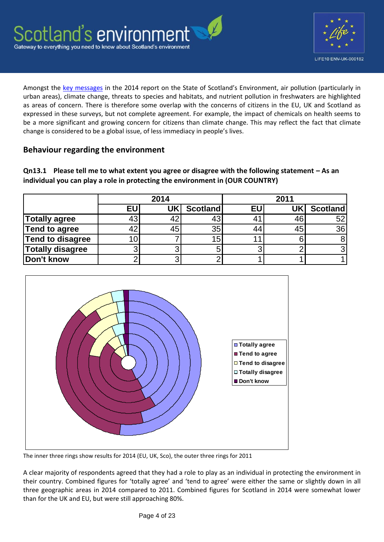

Amongst the [key messages](http://www.environment.scotland.gov.uk/get-informed/state-of-the-environment-summary) in the 2014 report on the State of Scotland's Environment, air pollution (particularly in urban areas), climate change, threats to species and habitats, and nutrient pollution in freshwaters are highlighted as areas of concern. There is therefore some overlap with the concerns of citizens in the EU, UK and Scotland as expressed in these surveys, but not complete agreement. For example, the impact of chemicals on health seems to be a more significant and growing concern for citizens than climate change. This may reflect the fact that climate change is considered to be a global issue, of less immediacy in people's lives.

## **Behaviour regarding the environment**

**Qn13.1 Please tell me to what extent you agree or disagree with the following statement – As an individual you can play a role in protecting the environment in (OUR COUNTRY)**

|                         |    | 2014 |          | 2011 |    |                 |  |
|-------------------------|----|------|----------|------|----|-----------------|--|
|                         | EU | UK'  | Scotland | EU   |    | <b>Scotland</b> |  |
| <b>Totally agree</b>    |    |      | 43       | 41   | 46 | 52              |  |
| Tend to agree           |    | 45   | 35       | 44   | 45 | 36              |  |
| <b>Tend to disagree</b> |    |      | 15       |      |    |                 |  |
| <b>Totally disagree</b> |    |      |          |      |    |                 |  |
| Don't know              |    |      |          |      |    |                 |  |



The inner three rings show results for 2014 (EU, UK, Sco), the outer three rings for 2011

A clear majority of respondents agreed that they had a role to play as an individual in protecting the environment in their country. Combined figures for 'totally agree' and 'tend to agree' were either the same or slightly down in all three geographic areas in 2014 compared to 2011. Combined figures for Scotland in 2014 were somewhat lower than for the UK and EU, but were still approaching 80%.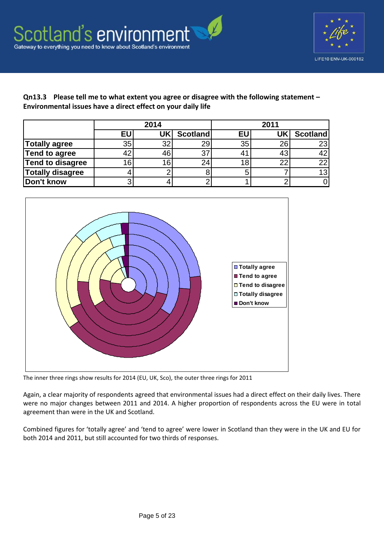



**Qn13.3 Please tell me to what extent you agree or disagree with the following statement – Environmental issues have a direct effect on your daily life**

|                         | 2014 |    |                 | 2011      |           |                 |  |
|-------------------------|------|----|-----------------|-----------|-----------|-----------------|--|
|                         | EU   | UK | <b>Scotland</b> | <b>EU</b> | <b>UK</b> | <b>Scotland</b> |  |
| Totally agree           | 35   | 32 | 29              | 35        | 26        | 23              |  |
| Tend to agree           |      | 46 | 37              | 41        | 43        | 42              |  |
| Tend to disagree        |      | 16 | 24              | 18        | າາ        | 22              |  |
| <b>Totally disagree</b> |      |    |                 |           |           | 13              |  |
| Don't know              |      |    |                 |           |           |                 |  |



The inner three rings show results for 2014 (EU, UK, Sco), the outer three rings for 2011

Again, a clear majority of respondents agreed that environmental issues had a direct effect on their daily lives. There were no major changes between 2011 and 2014. A higher proportion of respondents across the EU were in total agreement than were in the UK and Scotland.

Combined figures for 'totally agree' and 'tend to agree' were lower in Scotland than they were in the UK and EU for both 2014 and 2011, but still accounted for two thirds of responses.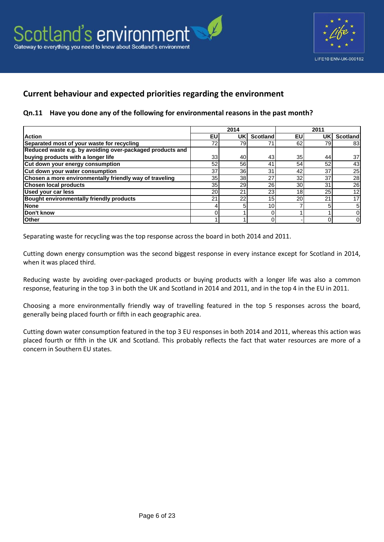



# **Current behaviour and expected priorities regarding the environment**

#### **Qn.11 Have you done any of the following for environmental reasons in the past month?**

|                                                           |    | 2014 |                 |                 | 2011 |                 |
|-----------------------------------------------------------|----|------|-----------------|-----------------|------|-----------------|
| <b>Action</b>                                             | EU | UK   | Scotland        | EU              | UK   | <b>Scotland</b> |
| Separated most of your waste for recycling                | 72 | 79   |                 | 62              | 79   | 83              |
| Reduced waste e.g. by avoiding over-packaged products and |    |      |                 |                 |      |                 |
| buying products with a longer life                        | 33 | 40   | 43              | 35 <sub>l</sub> | 44   | 37              |
| Cut down your energy consumption                          | 52 | 56   | 4 <sup>1</sup>  | 54              | 52   | 43              |
| Cut down your water consumption                           | 37 | 36   | 31              | 42              | 37   | 25              |
| Chosen a more environmentally friendly way of traveling   | 35 | 38   | 27              | 32              | 37   | 28              |
| <b>Chosen local products</b>                              | 35 | 29   | 26              | 30 <sup>1</sup> | 31   | 26              |
| Used your car less                                        | 20 | 21   | 23              | 18              | 25   | 12              |
| <b>Bought environmentally friendly products</b>           | 21 | 22   | 15              | 20              | 21   |                 |
| <b>None</b>                                               | 4  |      | 10 <sub>1</sub> |                 |      |                 |
| Don't know                                                |    |      |                 |                 |      |                 |
| <b>Other</b>                                              |    |      |                 |                 |      |                 |

Separating waste for recycling was the top response across the board in both 2014 and 2011.

Cutting down energy consumption was the second biggest response in every instance except for Scotland in 2014, when it was placed third.

Reducing waste by avoiding over-packaged products or buying products with a longer life was also a common response, featuring in the top 3 in both the UK and Scotland in 2014 and 2011, and in the top 4 in the EU in 2011.

Choosing a more environmentally friendly way of travelling featured in the top 5 responses across the board, generally being placed fourth or fifth in each geographic area.

Cutting down water consumption featured in the top 3 EU responses in both 2014 and 2011, whereas this action was placed fourth or fifth in the UK and Scotland. This probably reflects the fact that water resources are more of a concern in Southern EU states.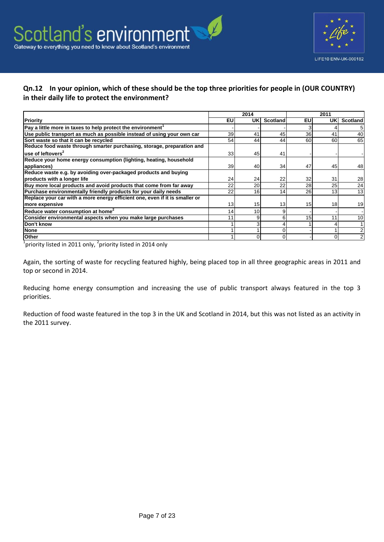

### **Qn.12 In your opinion, which of these should be the top three priorities for people in (OUR COUNTRY) in their daily life to protect the environment?**

|                                                                             |           | 2014            |                 |    | 2011 |                 |
|-----------------------------------------------------------------------------|-----------|-----------------|-----------------|----|------|-----------------|
| Priority                                                                    | <b>EU</b> | UKI             | <b>Scotland</b> | EU | UKI  | <b>Scotland</b> |
| Pay a little more in taxes to help protect the environment <sup>1</sup>     |           |                 |                 |    |      | 5               |
| Use public transport as much as possible instead of using your own car      | 39        | 41              | 45              | 36 | 41   | 40              |
| Sort waste so that it can be recycled                                       | 54        | 44              | 44              | 60 | 60   | 65              |
| Reduce food waste through smarter purchasing, storage, preparation and      |           |                 |                 |    |      |                 |
| use of leftovers <sup>2</sup>                                               | 33        | 45              | 41              |    |      |                 |
| Reduce your home energy consumption (lighting, heating, household           |           |                 |                 |    |      |                 |
| appliances)                                                                 | 39        | 40              | 34              | 47 | 45   | 48              |
| Reduce waste e.g. by avoiding over-packaged products and buying             |           |                 |                 |    |      |                 |
| products with a longer life                                                 | 24        | 24              | 22              | 32 | 31   | 28              |
| Buy more local products and avoid products that come from far away          | 22        | 20              | 22              | 28 | 25   | 24              |
| Purchase environmentally friendly products for your daily needs             | 22        | 16 <sub>1</sub> | 14              | 26 | 13   | 13              |
| Replace your car with a more energy efficient one, even if it is smaller or |           |                 |                 |    |      |                 |
| more expensive                                                              | 13        | 15              | 13              | 15 | 18   | 19              |
| Reduce water consumption at home <sup>2</sup>                               | 14        | 10              |                 |    |      |                 |
| Consider environmental aspects when you make large purchases                |           | 9               |                 | 15 | 11   | 10              |
| Don't know                                                                  |           |                 |                 |    |      |                 |
| <b>None</b>                                                                 |           |                 |                 |    |      | $\mathfrak{p}$  |
| <b>Other</b>                                                                |           |                 |                 |    |      | 2               |

 $\frac{1}{1}$ priority listed in 2011 only, <sup>2</sup>priority listed in 2014 only

Again, the sorting of waste for recycling featured highly, being placed top in all three geographic areas in 2011 and top or second in 2014.

Reducing home energy consumption and increasing the use of public transport always featured in the top 3 priorities.

Reduction of food waste featured in the top 3 in the UK and Scotland in 2014, but this was not listed as an activity in the 2011 survey.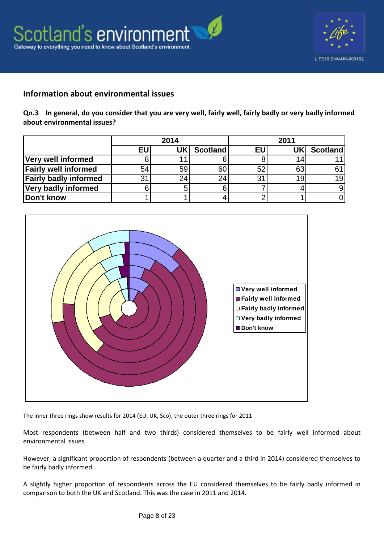



### **Information about environmental issues**

**Qn.3 In general, do you consider that you are very well, fairly well, fairly badly or very badly informed about environmental issues?**

|                              |    | 2014 |                 | 2011        |     |                 |  |
|------------------------------|----|------|-----------------|-------------|-----|-----------------|--|
|                              | EU | UK   | <b>Scotland</b> | EU          | UKI | <b>Scotland</b> |  |
| Very well informed           |    |      |                 |             |     |                 |  |
| <b>Fairly well informed</b>  | 54 | 59   | 60              |             | 63  |                 |  |
| <b>Fairly badly informed</b> | 31 | 24.  | 24              | $3^{\circ}$ | 19  | 19              |  |
| <b>Very badly informed</b>   |    |      |                 |             |     |                 |  |
| Don't know                   |    |      |                 |             |     |                 |  |



The inner three rings show results for 2014 (EU, UK, Sco), the outer three rings for 2011

Most respondents (between half and two thirds) considered themselves to be fairly well informed about environmental issues.

However, a significant proportion of respondents (between a quarter and a third in 2014) considered themselves to be fairly badly informed.

A slightly higher proportion of respondents across the EU considered themselves to be fairly badly informed in comparison to both the UK and Scotland. This was the case in 2011 and 2014.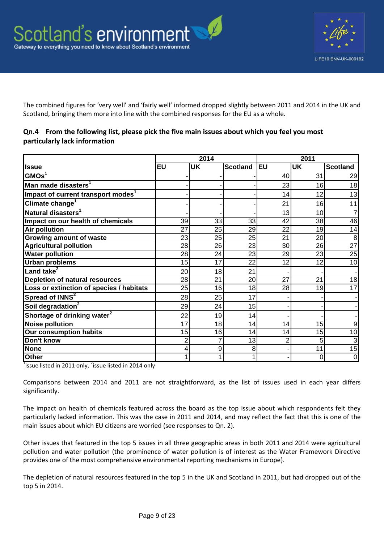

The combined figures for 'very well' and 'fairly well' informed dropped slightly between 2011 and 2014 in the UK and Scotland, bringing them more into line with the combined responses for the EU as a whole.

#### **Qn.4 From the following list, please pick the five main issues about which you feel you most particularly lack information**

|                                                |                         | 2014      |                 |                 | 2011            |                 |  |
|------------------------------------------------|-------------------------|-----------|-----------------|-----------------|-----------------|-----------------|--|
| llssue                                         | <b>EU</b>               | <b>UK</b> | <b>Scotland</b> | <b>EU</b>       | <b>UK</b>       | <b>Scotland</b> |  |
| GMOs <sup>1</sup>                              |                         |           |                 | 40              | 31              | 29              |  |
| Man made disasters <sup>1</sup>                |                         |           |                 | 23              | 16              | 18              |  |
| Impact of current transport modes <sup>1</sup> |                         |           |                 | 14              | 12              | 13              |  |
| Climate change <sup>1</sup>                    |                         |           |                 | 21              | 16              | 11              |  |
| Natural disasters <sup>1</sup>                 |                         |           |                 | 13              | 10              |                 |  |
| Impact on our health of chemicals              | 39                      | 33        | 33              | 42              | 38              | 46              |  |
| Air pollution                                  | 27                      | 25        | 29              | 22              | 19              | 14              |  |
| <b>Growing amount of waste</b>                 | 23                      | 25        | 25              | 21              | 20 <sub>l</sub> | 8               |  |
| <b>Agricultural pollution</b>                  | 28                      | 26        | 23              | 30 <sup>°</sup> | 26              | $\overline{27}$ |  |
| <b>Water pollution</b>                         | 28                      | 24        | 23              | 29              | 23              | 25              |  |
| <b>Urban problems</b>                          | 15                      | 17        | 22              | 12              | 12              | 10              |  |
| Land take <sup>2</sup>                         | 20                      | 18        | 21              |                 |                 |                 |  |
| <b>Depletion of natural resources</b>          | 28                      | 21        | 20 <sub>l</sub> | 27              | 21              | 18              |  |
| Loss or extinction of species / habitats       | 25                      | 16        | 18              | 28              | 19              | 17              |  |
| Spread of INNS <sup>2</sup>                    | 28                      | 25        | 17              |                 |                 |                 |  |
| Soil degradation <sup>2</sup>                  | 29                      | 24        | 15              |                 |                 |                 |  |
| Shortage of drinking water <sup>2</sup>        | 22                      | 19        | 14              |                 |                 |                 |  |
| <b>Noise pollution</b>                         | 17                      | 18        | 14              | 14              | 15              | 9               |  |
| <b>Our consumption habits</b>                  | 15                      | 16        | 14              | 14              | 15              | $\overline{10}$ |  |
| Don't know                                     | $\overline{2}$          | 7         | 13              | $\overline{2}$  | 5               | 3               |  |
| <b>None</b>                                    | $\overline{\mathbf{r}}$ | 9         | 8               |                 | 11              | 15              |  |
| <b>Other</b>                                   | 1                       | 1         |                 |                 | $\Omega$        | $\mathbf 0$     |  |

 $1$ issue listed in 2011 only, <sup>2</sup>issue listed in 2014 only

Comparisons between 2014 and 2011 are not straightforward, as the list of issues used in each year differs significantly.

The impact on health of chemicals featured across the board as the top issue about which respondents felt they particularly lacked information. This was the case in 2011 and 2014, and may reflect the fact that this is one of the main issues about which EU citizens are worried (see responses to Qn. 2).

Other issues that featured in the top 5 issues in all three geographic areas in both 2011 and 2014 were agricultural pollution and water pollution (the prominence of water pollution is of interest as the Water Framework Directive provides one of the most comprehensive environmental reporting mechanisms in Europe).

The depletion of natural resources featured in the top 5 in the UK and Scotland in 2011, but had dropped out of the top 5 in 2014.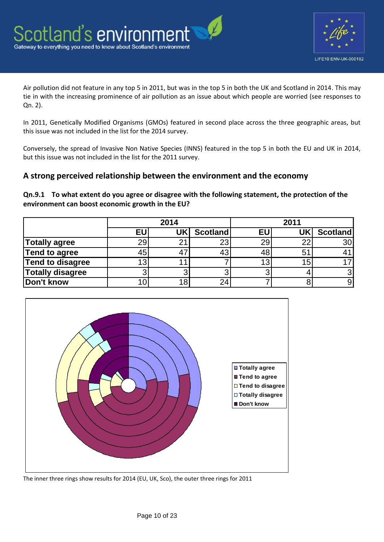

Air pollution did not feature in any top 5 in 2011, but was in the top 5 in both the UK and Scotland in 2014. This may tie in with the increasing prominence of air pollution as an issue about which people are worried (see responses to Qn. 2).

In 2011, Genetically Modified Organisms (GMOs) featured in second place across the three geographic areas, but this issue was not included in the list for the 2014 survey.

Conversely, the spread of Invasive Non Native Species (INNS) featured in the top 5 in both the EU and UK in 2014, but this issue was not included in the list for the 2011 survey.

## **A strong perceived relationship between the environment and the economy**

**Qn.9.1 To what extent do you agree or disagree with the following statement, the protection of the environment can boost economic growth in the EU?**

|                      | 2014      |     |                 | 2011 |    |                 |  |
|----------------------|-----------|-----|-----------------|------|----|-----------------|--|
|                      | <b>EU</b> | UKI | <b>Scotland</b> | EU   |    | <b>Scotland</b> |  |
| <b>Totally agree</b> | 29        | 21  | 23              | 29   | 22 | 30              |  |
| Tend to agree        | 45        |     |                 | 48   | 51 |                 |  |
| Tend to disagree     |           |     |                 | 13   | 15 |                 |  |
| Totally disagree     |           |     |                 |      |    |                 |  |
| Don't know           |           | 18  |                 |      |    |                 |  |



The inner three rings show results for 2014 (EU, UK, Sco), the outer three rings for 2011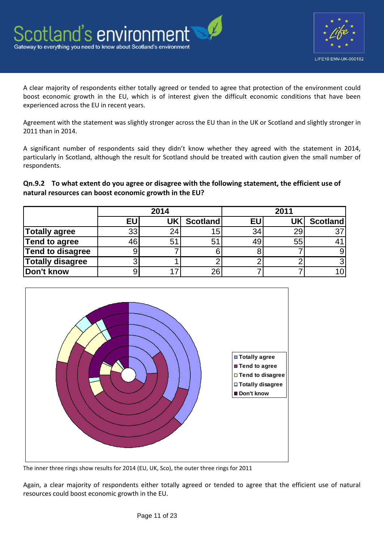

A clear majority of respondents either totally agreed or tended to agree that protection of the environment could boost economic growth in the EU, which is of interest given the difficult economic conditions that have been experienced across the EU in recent years.

Agreement with the statement was slightly stronger across the EU than in the UK or Scotland and slightly stronger in 2011 than in 2014.

A significant number of respondents said they didn't know whether they agreed with the statement in 2014, particularly in Scotland, although the result for Scotland should be treated with caution given the small number of respondents.

**Qn.9.2 To what extent do you agree or disagree with the following statement, the efficient use of natural resources can boost economic growth in the EU?**

|                         | 2014 |                |                 | 2011            |     |                 |  |
|-------------------------|------|----------------|-----------------|-----------------|-----|-----------------|--|
|                         | EU   | UK             | <b>Scotland</b> | <b>EU</b>       | UKI | <b>Scotland</b> |  |
| <b>Totally agree</b>    | 33   |                | 15              | 34 <sub>1</sub> | 29  | 37              |  |
| <b>Tend to agree</b>    |      | 5 <sup>′</sup> | 51              | 49              | 55  |                 |  |
| <b>Tend to disagree</b> |      |                |                 |                 |     |                 |  |
| <b>Totally disagree</b> |      |                |                 |                 |     |                 |  |
| Don't know              |      |                | 26              |                 |     |                 |  |



The inner three rings show results for 2014 (EU, UK, Sco), the outer three rings for 2011

Again, a clear majority of respondents either totally agreed or tended to agree that the efficient use of natural resources could boost economic growth in the EU.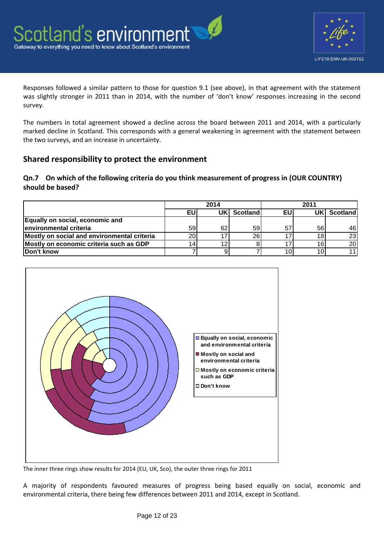

Responses followed a similar pattern to those for question 9.1 (see above), in that agreement with the statement was slightly stronger in 2011 than in 2014, with the number of 'don't know' responses increasing in the second survey.

The numbers in total agreement showed a decline across the board between 2011 and 2014, with a particularly marked decline in Scotland. This corresponds with a general weakening in agreement with the statement between the two surveys, and an increase in uncertainty.

## **Shared responsibility to protect the environment**

### **Qn.7 On which of the following criteria do you think measurement of progress in (OUR COUNTRY) should be based?**

|                                             | 2014            |    |          | 2011 |    |                 |
|---------------------------------------------|-----------------|----|----------|------|----|-----------------|
|                                             | EU              | UK | Scotland | ΕU   | JΚ | Scotland        |
| Equally on social, economic and             |                 |    |          |      |    |                 |
| environmental criteria                      | 59              | 62 | 59       |      | 56 | 46I             |
| Mostly on social and environmental criteria | 20 <sub>1</sub> |    | 26       |      | 18 | 23 <sub>l</sub> |
| Mostly on economic criteria such as GDP     |                 |    |          |      | 16 | 20 <sup>1</sup> |
| Don't know                                  |                 |    |          |      | 10 |                 |



The inner three rings show results for 2014 (EU, UK, Sco), the outer three rings for 2011

A majority of respondents favoured measures of progress being based equally on social, economic and environmental criteria, there being few differences between 2011 and 2014, except in Scotland.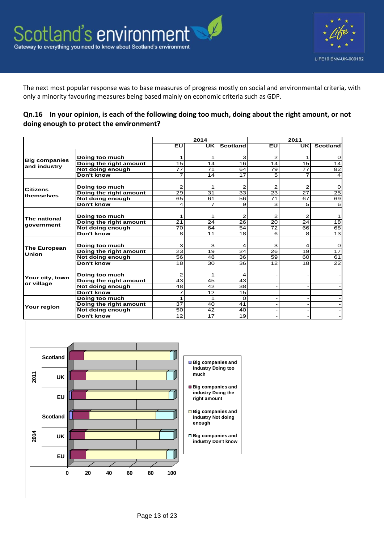

The next most popular response was to base measures of progress mostly on social and environmental criteria, with only a minority favouring measures being based mainly on economic criteria such as GDP.

#### **Qn.16 In your opinion, is each of the following doing too much, doing about the right amount, or not doing enough to protect the environment?**

|                      |                        | 2014            |                 |                 | 2011            |                |                 |
|----------------------|------------------------|-----------------|-----------------|-----------------|-----------------|----------------|-----------------|
|                      |                        | EU              | <b>UK</b>       | <b>Scotland</b> | EU              | <b>UK</b>      | <b>Scotland</b> |
|                      | Doing too much         |                 |                 | 3               | 2               |                | 0               |
| <b>Big companies</b> | Doing the right amount | 15              | 14              | 16              | 14              | 15             | 14              |
| and industry         | Not doing enough       | $\overline{77}$ | $\overline{71}$ | 64              | 79              | 77             | $\overline{82}$ |
|                      | Don't know             | 7               | 14              | $\overline{17}$ | 5               | 7              | 4               |
|                      |                        |                 |                 |                 |                 |                |                 |
| <b>Citizens</b>      | Doing too much         | 2               |                 | 2               | 2               | 2              | 0               |
| themselves           | Doing the right amount | 29              | 31              | 33              | 23              | 27             | $\overline{25}$ |
|                      | Not doing enough       | 65              | 61              | 56              | $\overline{71}$ | 67             | 69              |
|                      | Don't know             | 4               | 7               | 9               | 3               | 5              | 6               |
|                      |                        |                 |                 |                 |                 |                |                 |
| The national         | Doing too much         |                 | 1               | 2               | 2               | $\overline{2}$ |                 |
|                      | Doing the right amount | 21              | 24              | 26              | 20              | 24             | 18              |
| government           | Not doing enough       | 70              | 64              | 54              | 72              | 66             | 68              |
|                      | Don't know             | 8               | 11              | 18              | 6               | 8              | $\overline{13}$ |
|                      |                        |                 |                 |                 |                 |                |                 |
| <b>The European</b>  | Doing too much         | 3               | 3               | 4               | 3               | 4              | 0               |
| <b>Union</b>         | Doing the right amount | 23              | 19              | 24              | 26              | 19             | $\overline{17}$ |
|                      | Not doing enough       | $\overline{56}$ | 48              | $\overline{36}$ | 59              | 60             | 61              |
|                      | Don't know             | 18              | 30              | 36              | 12              | 18             | $\overline{22}$ |
|                      | Doing too much         | 2               | 1               |                 |                 |                |                 |
| Your city, town      | Doing the right amount | 43              | 45              | 43              |                 |                |                 |
| or village           | Not doing enough       | 48              | 42              | 38              |                 |                |                 |
|                      | Don't know             | 7               | 12              | 15              |                 |                |                 |
|                      | Doing too much         |                 | 1               | $\Omega$        |                 |                |                 |
|                      | Doing the right amount | 37              | 40              | 41              |                 |                |                 |
| Your region          | Not doing enough       | 50              | 42              | 40              |                 |                |                 |
|                      | Don't know             | 12              | $\overline{17}$ | 19              |                 |                |                 |

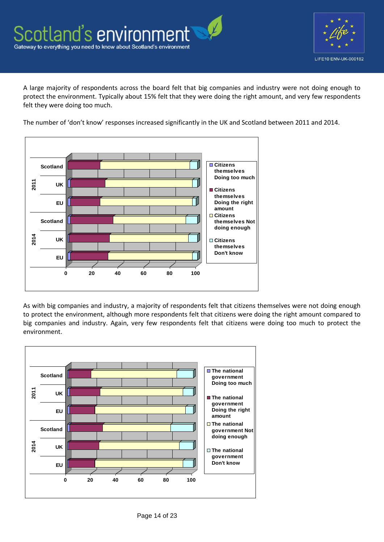

A large majority of respondents across the board felt that big companies and industry were not doing enough to protect the environment. Typically about 15% felt that they were doing the right amount, and very few respondents felt they were doing too much.

The number of 'don't know' responses increased significantly in the UK and Scotland between 2011 and 2014.



As with big companies and industry, a majority of respondents felt that citizens themselves were not doing enough to protect the environment, although more respondents felt that citizens were doing the right amount compared to big companies and industry. Again, very few respondents felt that citizens were doing too much to protect the environment.

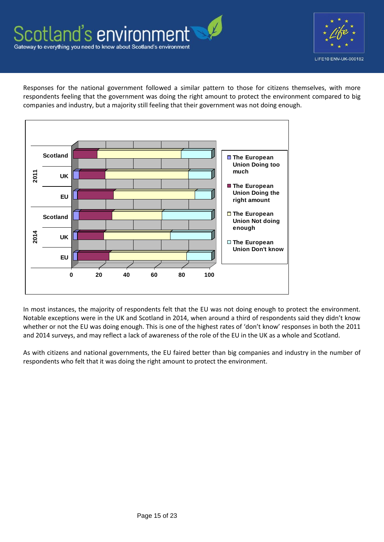



Responses for the national government followed a similar pattern to those for citizens themselves, with more respondents feeling that the government was doing the right amount to protect the environment compared to big companies and industry, but a majority still feeling that their government was not doing enough.



In most instances, the majority of respondents felt that the EU was not doing enough to protect the environment. Notable exceptions were in the UK and Scotland in 2014, when around a third of respondents said they didn't know whether or not the EU was doing enough. This is one of the highest rates of 'don't know' responses in both the 2011 and 2014 surveys, and may reflect a lack of awareness of the role of the EU in the UK as a whole and Scotland.

As with citizens and national governments, the EU faired better than big companies and industry in the number of respondents who felt that it was doing the right amount to protect the environment.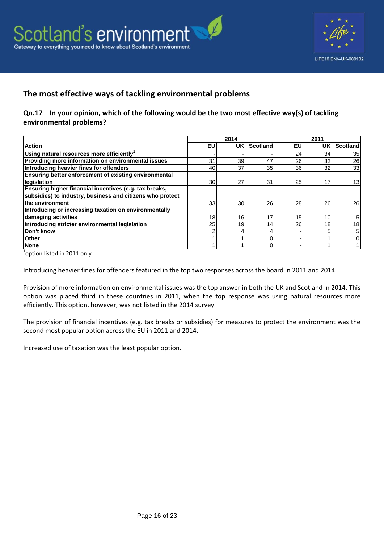



## **The most effective ways of tackling environmental problems**

#### **Qn.17 In your opinion, which of the following would be the two most effective way(s) of tackling environmental problems?**

|                                                              | 2014            |                 |                 | 2011            |                 |                 |
|--------------------------------------------------------------|-----------------|-----------------|-----------------|-----------------|-----------------|-----------------|
| <b>Action</b>                                                | EU              | UKI             | <b>Scotland</b> | EU              | UK              | <b>Scotland</b> |
| Using natural resources more efficiently <sup>1</sup>        |                 |                 |                 | 24              | 34              | 35              |
| Providing more information on environmental issues           | 31              | 39              | 47              | 26              | 32              | 26              |
| Introducing heavier fines for offenders                      | 40              | 37              | 35              | 36I             | 32              | 33              |
| <b>Ensuring better enforcement of existing environmental</b> |                 |                 |                 |                 |                 |                 |
| legislation                                                  | 30 <sup>l</sup> | 27 <sup>1</sup> | 31              | 25              | 17              | 13              |
| Ensuring higher financial incentives (e.g. tax breaks,       |                 |                 |                 |                 |                 |                 |
| subsidies) to industry, business and citizens who protect    |                 |                 |                 |                 |                 |                 |
| the environment                                              | 33              | 30              | 26              | 28I             | 26              | 26              |
| Introducing or increasing taxation on environmentally        |                 |                 |                 |                 |                 |                 |
| damaging activities                                          | 18 <sub>l</sub> | 16              | 17              | 15 <sup>1</sup> | 10 <sub>1</sub> | 5               |
| Introducing stricter environmental legislation               | <b>25</b>       | 19              | 14              | <b>26</b>       | 18              | 18 <sub>1</sub> |
| Don't know                                                   |                 |                 |                 |                 |                 | 5 <sub>1</sub>  |
| <b>Other</b>                                                 |                 |                 |                 |                 |                 |                 |
| <b>None</b>                                                  |                 |                 |                 |                 |                 |                 |

<sup>1</sup>option listed in 2011 only

Introducing heavier fines for offenders featured in the top two responses across the board in 2011 and 2014.

Provision of more information on environmental issues was the top answer in both the UK and Scotland in 2014. This option was placed third in these countries in 2011, when the top response was using natural resources more efficiently. This option, however, was not listed in the 2014 survey.

The provision of financial incentives (e.g. tax breaks or subsidies) for measures to protect the environment was the second most popular option across the EU in 2011 and 2014.

Increased use of taxation was the least popular option.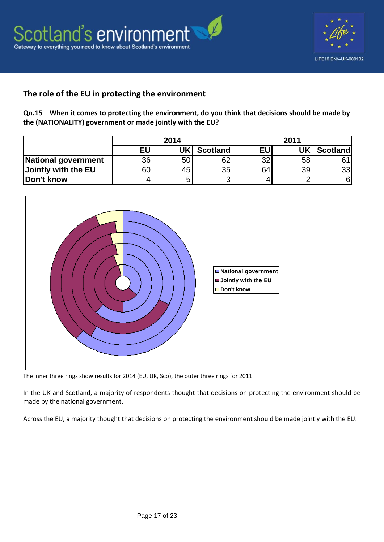



## **The role of the EU in protecting the environment**

**Qn.15 When it comes to protecting the environment, do you think that decisions should be made by the (NATIONALITY) government or made jointly with the EU?**

|                     | 2014 |     |          |    | 2011 |                 |
|---------------------|------|-----|----------|----|------|-----------------|
|                     | EU   | UKI | Scotland | EU | UKl  | <b>Scotland</b> |
| National government | 36   | 5U  | 62       | າາ | 58   |                 |
| Jointly with the EU | 60   | 45  | 35       | 64 | 39   | 33              |
| Don't know          |      |     | ⌒        |    |      | 6               |



The inner three rings show results for 2014 (EU, UK, Sco), the outer three rings for 2011

In the UK and Scotland, a majority of respondents thought that decisions on protecting the environment should be made by the national government.

Across the EU, a majority thought that decisions on protecting the environment should be made jointly with the EU.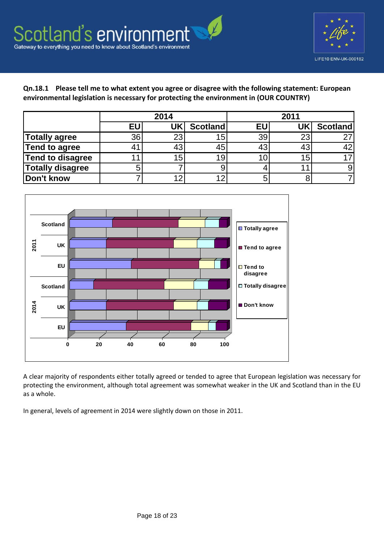

**Qn.18.1 Please tell me to what extent you agree or disagree with the following statement: European environmental legislation is necessary for protecting the environment in (OUR COUNTRY)**

|                         | 2014 |    |                 | 2011      |                 |                 |  |
|-------------------------|------|----|-----------------|-----------|-----------------|-----------------|--|
|                         | EU   | UK | <b>Scotland</b> | <b>EU</b> |                 | <b>Scotland</b> |  |
| <b>Totally agree</b>    | 36   | 23 | 15 <sub>1</sub> | 39        | 23              | רמ              |  |
| <b>Tend to agree</b>    |      |    | 45              | 43        | 43              | 42              |  |
| <b>Tend to disagree</b> |      | 15 | 19              | 10        | 15 <sub>1</sub> |                 |  |
| <b>Totally disagree</b> |      |    |                 |           |                 |                 |  |
| Don't know              |      |    | 12              | 5         |                 |                 |  |



A clear majority of respondents either totally agreed or tended to agree that European legislation was necessary for protecting the environment, although total agreement was somewhat weaker in the UK and Scotland than in the EU as a whole.

In general, levels of agreement in 2014 were slightly down on those in 2011.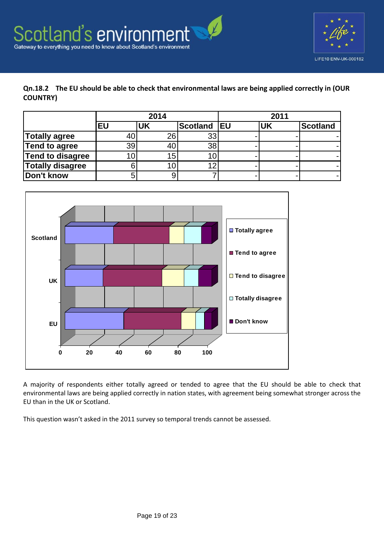



#### **Qn.18.2 The EU should be able to check that environmental laws are being applied correctly in (OUR COUNTRY)**

|                         | 2014 |           |                 |            | 2011      |          |  |
|-------------------------|------|-----------|-----------------|------------|-----------|----------|--|
|                         | EU   | <b>UK</b> | <b>Scotland</b> | <b>IEU</b> | <b>UK</b> | Scotland |  |
| <b>Totally agree</b>    |      | 26        | 33              |            |           |          |  |
| <b>Tend to agree</b>    | 39   | 40        | 38              |            |           |          |  |
| <b>Tend to disagree</b> |      | 15        |                 |            |           |          |  |
| <b>Totally disagree</b> |      |           | 12              |            |           |          |  |
| Don't know              |      |           |                 |            |           |          |  |



A majority of respondents either totally agreed or tended to agree that the EU should be able to check that environmental laws are being applied correctly in nation states, with agreement being somewhat stronger across the EU than in the UK or Scotland.

This question wasn't asked in the 2011 survey so temporal trends cannot be assessed.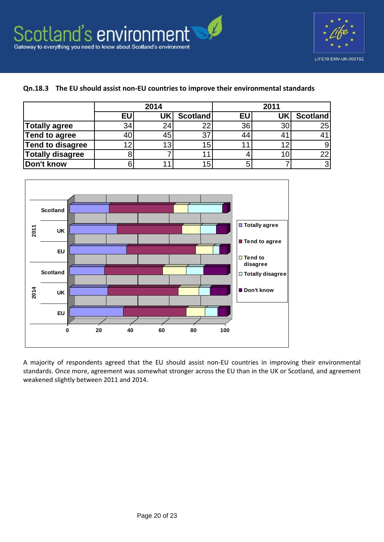

#### **Qn.18.3 The EU should assist non-EU countries to improve their environmental standards**

|                         | 2014 |    |                 |           | 2011 |                 |  |
|-------------------------|------|----|-----------------|-----------|------|-----------------|--|
|                         | EU   | UK | Scotland        | <b>EU</b> |      | <b>Scotland</b> |  |
| <b>Totally agree</b>    | 34   | 24 | 22              | 36        | 30   | 25              |  |
| Tend to agree           |      | 45 | 37              | 44        |      |                 |  |
| <b>Tend to disagree</b> |      | 13 | 15              |           | າດ   |                 |  |
| <b>Totally disagree</b> |      |    |                 |           |      | 22              |  |
| Don't know              |      |    | 15 <sub>1</sub> |           |      | 3               |  |



A majority of respondents agreed that the EU should assist non-EU countries in improving their environmental standards. Once more, agreement was somewhat stronger across the EU than in the UK or Scotland, and agreement weakened slightly between 2011 and 2014.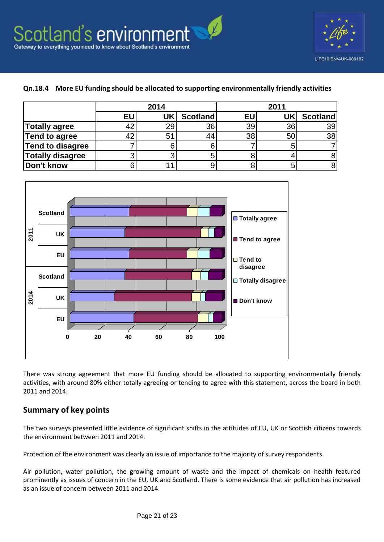

#### **Qn.18.4 More EU funding should be allocated to supporting environmentally friendly activities**

|                         | 2014 |                |                 |    | 2011 |                 |  |  |
|-------------------------|------|----------------|-----------------|----|------|-----------------|--|--|
|                         | EU   | UK             | <b>Scotland</b> | EU | UK   | <b>Scotland</b> |  |  |
| Totally agree           |      | 29             | 36              | 39 | 36   | 39              |  |  |
| Tend to agree           |      | 5 <sup>′</sup> | 44              | 38 | 50   | 38              |  |  |
| Tend to disagree        |      |                |                 |    |      |                 |  |  |
| <b>Totally disagree</b> |      |                |                 |    |      |                 |  |  |
| Don't know              |      |                |                 |    |      |                 |  |  |



There was strong agreement that more EU funding should be allocated to supporting environmentally friendly activities, with around 80% either totally agreeing or tending to agree with this statement, across the board in both 2011 and 2014.

## **Summary of key points**

The two surveys presented little evidence of significant shifts in the attitudes of EU, UK or Scottish citizens towards the environment between 2011 and 2014.

Protection of the environment was clearly an issue of importance to the majority of survey respondents.

Air pollution, water pollution, the growing amount of waste and the impact of chemicals on health featured prominently as issues of concern in the EU, UK and Scotland. There is some evidence that air pollution has increased as an issue of concern between 2011 and 2014.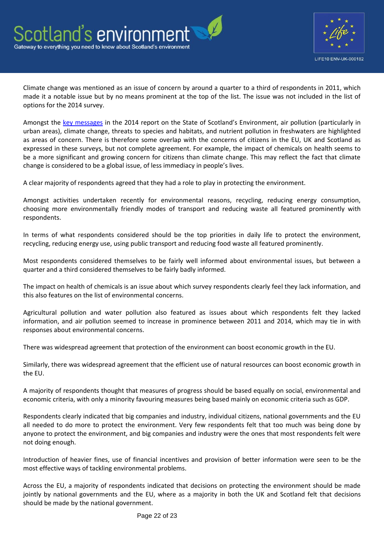

Climate change was mentioned as an issue of concern by around a quarter to a third of respondents in 2011, which made it a notable issue but by no means prominent at the top of the list. The issue was not included in the list of options for the 2014 survey.

Amongst the [key messages](http://www.environment.scotland.gov.uk/get-informed/state-of-the-environment-summary) in the 2014 report on the State of Scotland's Environment, air pollution (particularly in urban areas), climate change, threats to species and habitats, and nutrient pollution in freshwaters are highlighted as areas of concern. There is therefore some overlap with the concerns of citizens in the EU, UK and Scotland as expressed in these surveys, but not complete agreement. For example, the impact of chemicals on health seems to be a more significant and growing concern for citizens than climate change. This may reflect the fact that climate change is considered to be a global issue, of less immediacy in people's lives.

A clear majority of respondents agreed that they had a role to play in protecting the environment.

Amongst activities undertaken recently for environmental reasons, recycling, reducing energy consumption, choosing more environmentally friendly modes of transport and reducing waste all featured prominently with respondents.

In terms of what respondents considered should be the top priorities in daily life to protect the environment, recycling, reducing energy use, using public transport and reducing food waste all featured prominently.

Most respondents considered themselves to be fairly well informed about environmental issues, but between a quarter and a third considered themselves to be fairly badly informed.

The impact on health of chemicals is an issue about which survey respondents clearly feel they lack information, and this also features on the list of environmental concerns.

Agricultural pollution and water pollution also featured as issues about which respondents felt they lacked information, and air pollution seemed to increase in prominence between 2011 and 2014, which may tie in with responses about environmental concerns.

There was widespread agreement that protection of the environment can boost economic growth in the EU.

Similarly, there was widespread agreement that the efficient use of natural resources can boost economic growth in the EU.

A majority of respondents thought that measures of progress should be based equally on social, environmental and economic criteria, with only a minority favouring measures being based mainly on economic criteria such as GDP.

Respondents clearly indicated that big companies and industry, individual citizens, national governments and the EU all needed to do more to protect the environment. Very few respondents felt that too much was being done by anyone to protect the environment, and big companies and industry were the ones that most respondents felt were not doing enough.

Introduction of heavier fines, use of financial incentives and provision of better information were seen to be the most effective ways of tackling environmental problems.

Across the EU, a majority of respondents indicated that decisions on protecting the environment should be made jointly by national governments and the EU, where as a majority in both the UK and Scotland felt that decisions should be made by the national government.